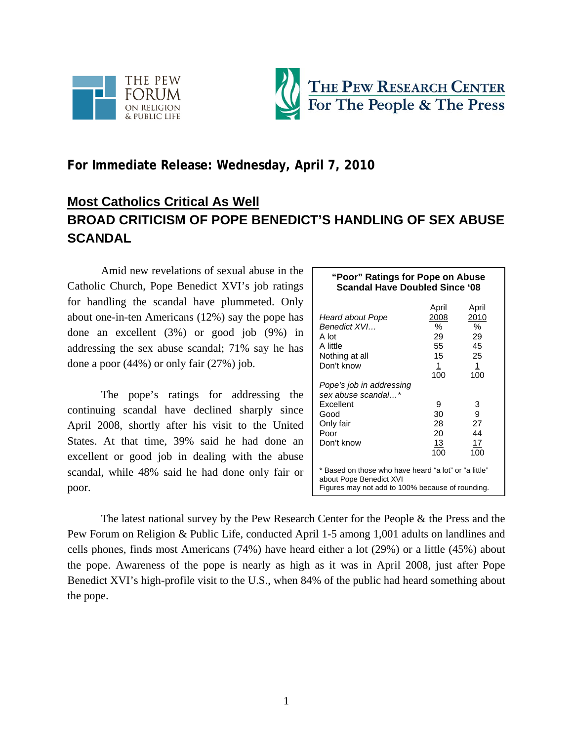



# **For Immediate Release: Wednesday, April 7, 2010**

# **Most Catholics Critical As Well BROAD CRITICISM OF POPE BENEDICT'S HANDLING OF SEX ABUSE SCANDAL**

Amid new revelations of sexual abuse in the Catholic Church, Pope Benedict XVI's job ratings for handling the scandal have plummeted. Only about one-in-ten Americans (12%) say the pope has done an excellent (3%) or good job (9%) in addressing the sex abuse scandal; 71% say he has done a poor (44%) or only fair (27%) job.

The pope's ratings for addressing the continuing scandal have declined sharply since April 2008, shortly after his visit to the United States. At that time, 39% said he had done an excellent or good job in dealing with the abuse scandal, while 48% said he had done only fair or poor.

| "Poor" Ratings for Pope on Abuse<br><b>Scandal Have Doubled Since '08</b>                                                            |                                                    |                                              |  |
|--------------------------------------------------------------------------------------------------------------------------------------|----------------------------------------------------|----------------------------------------------|--|
| Heard about Pope<br>Benedict XVI<br>A lot<br>A little<br>Nothing at all<br>Don't know                                                | April<br>2008<br>$\%$<br>29<br>55<br>15<br>$\perp$ | April<br>2010<br>$\%$<br>29<br>45<br>25<br>1 |  |
| Pope's job in addressing<br>sex abuse scandal*<br>Excellent<br>Good<br>Only fair<br>Poor<br>Don't know                               | 100<br>9<br>30<br>28<br>20<br><u>13</u><br>100     | 100<br>3<br>9<br>27<br>44<br>17<br>100       |  |
| * Based on those who have heard "a lot" or "a little"<br>about Pope Benedict XVI<br>Figures may not add to 100% because of rounding. |                                                    |                                              |  |

The latest national survey by the Pew Research Center for the People & the Press and the Pew Forum on Religion & Public Life, conducted April 1-5 among 1,001 adults on landlines and cells phones, finds most Americans (74%) have heard either a lot (29%) or a little (45%) about the pope. Awareness of the pope is nearly as high as it was in April 2008, just after Pope Benedict XVI's high-profile visit to the U.S., when 84% of the public had heard something about the pope.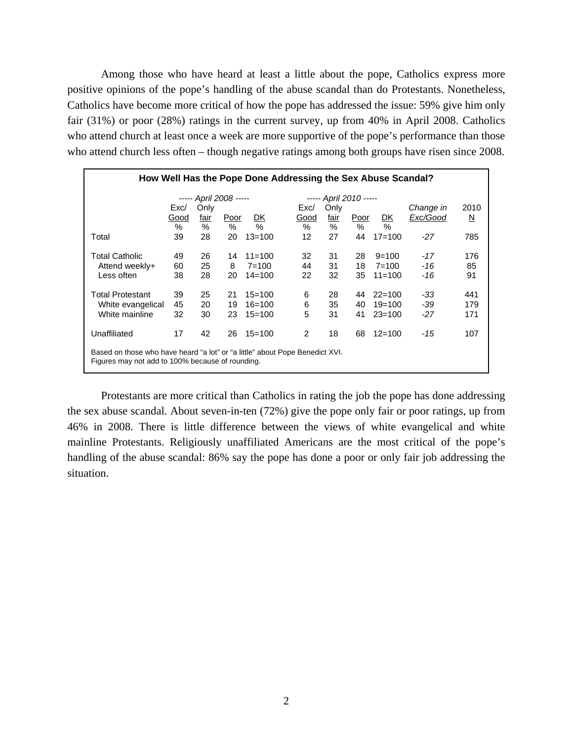Among those who have heard at least a little about the pope, Catholics express more positive opinions of the pope's handling of the abuse scandal than do Protestants. Nonetheless, Catholics have become more critical of how the pope has addressed the issue: 59% give him only fair (31%) or poor (28%) ratings in the current survey, up from 40% in April 2008. Catholics who attend church at least once a week are more supportive of the pope's performance than those who attend church less often – though negative ratings among both groups have risen since 2008.

| How Well Has the Pope Done Addressing the Sex Abuse Scandal?                                                                     |      |                        |      |            |      |                        |      |            |           |                          |
|----------------------------------------------------------------------------------------------------------------------------------|------|------------------------|------|------------|------|------------------------|------|------------|-----------|--------------------------|
|                                                                                                                                  |      | ----- April 2008 ----- |      |            |      | ----- April 2010 ----- |      |            |           |                          |
|                                                                                                                                  | Exc/ | Only                   |      |            | Exc/ | Only                   |      |            | Change in | 2010                     |
|                                                                                                                                  | Good | fair                   | Poor | DK         | Good | fair                   | Poor | DK         | Exc/Good  | $\underline{\mathsf{N}}$ |
|                                                                                                                                  | %    | %                      | %    | $\%$       | %    | %                      | %    | $\%$       |           |                          |
| Total                                                                                                                            | 39   | 28                     | 20   | $13 = 100$ | 12   | 27                     | 44   | $17 = 100$ | $-27$     | 785                      |
| <b>Total Catholic</b>                                                                                                            | 49   | 26                     | 14   | $11 = 100$ | 32   | 31                     | 28   | $9 = 100$  | $-17$     | 176                      |
| Attend weekly+                                                                                                                   | 60   | 25                     | 8    | $7 = 100$  | 44   | 31                     | 18   | $7 = 100$  | -16       | 85                       |
| Less often                                                                                                                       | 38   | 28                     | 20   | $14 = 100$ | 22   | 32                     | 35   | $11 = 100$ | -16       | 91                       |
| <b>Total Protestant</b>                                                                                                          | 39   | 25                     | 21   | $15=100$   | 6    | 28                     | 44   | $22 = 100$ | -33       | 441                      |
| White evangelical                                                                                                                | 45   | 20                     | 19   | $16 = 100$ | 6    | 35                     | 40   | $19=100$   | -39       | 179                      |
| White mainline                                                                                                                   | 32   | 30                     | 23   | $15=100$   | 5    | 31                     | 41   | $23 = 100$ | $-27$     | 171                      |
| Unaffiliated                                                                                                                     | 17   | 42                     | 26   | $15=100$   | 2    | 18                     | 68   | $12 = 100$ | -15       | 107                      |
| Based on those who have heard "a lot" or "a little" about Pope Benedict XVI.<br>Figures may not add to 100% because of rounding. |      |                        |      |            |      |                        |      |            |           |                          |

Protestants are more critical than Catholics in rating the job the pope has done addressing the sex abuse scandal. About seven-in-ten (72%) give the pope only fair or poor ratings, up from 46% in 2008. There is little difference between the views of white evangelical and white mainline Protestants. Religiously unaffiliated Americans are the most critical of the pope's handling of the abuse scandal: 86% say the pope has done a poor or only fair job addressing the situation.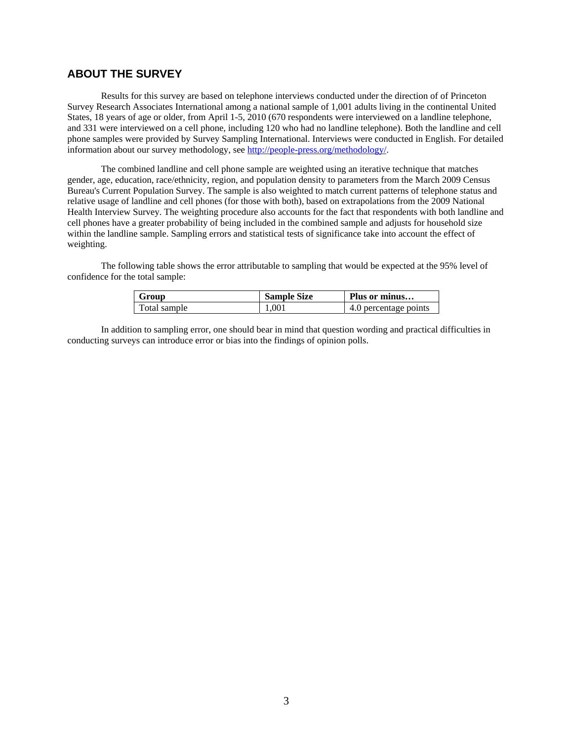## **ABOUT THE SURVEY**

Results for this survey are based on telephone interviews conducted under the direction of of Princeton Survey Research Associates International among a national sample of 1,001 adults living in the continental United States, 18 years of age or older, from April 1-5, 2010 (670 respondents were interviewed on a landline telephone, and 331 were interviewed on a cell phone, including 120 who had no landline telephone). Both the landline and cell phone samples were provided by Survey Sampling International. Interviews were conducted in English. For detailed information about our survey methodology, see http://people-press.org/methodology/.

The combined landline and cell phone sample are weighted using an iterative technique that matches gender, age, education, race/ethnicity, region, and population density to parameters from the March 2009 Census Bureau's Current Population Survey. The sample is also weighted to match current patterns of telephone status and relative usage of landline and cell phones (for those with both), based on extrapolations from the 2009 National Health Interview Survey. The weighting procedure also accounts for the fact that respondents with both landline and cell phones have a greater probability of being included in the combined sample and adjusts for household size within the landline sample. Sampling errors and statistical tests of significance take into account the effect of weighting.

The following table shows the error attributable to sampling that would be expected at the 95% level of confidence for the total sample:

| Group        | <b>Sample Size</b> | Plus or minus         |
|--------------|--------------------|-----------------------|
| Total sample | 1.001              | 4.0 percentage points |

In addition to sampling error, one should bear in mind that question wording and practical difficulties in conducting surveys can introduce error or bias into the findings of opinion polls.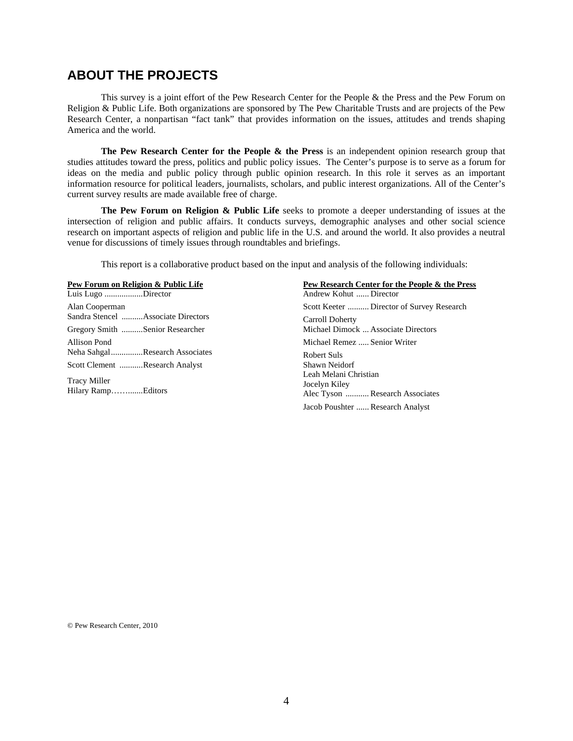# **ABOUT THE PROJECTS**

This survey is a joint effort of the Pew Research Center for the People & the Press and the Pew Forum on Religion & Public Life. Both organizations are sponsored by The Pew Charitable Trusts and are projects of the Pew Research Center, a nonpartisan "fact tank" that provides information on the issues, attitudes and trends shaping America and the world.

**The Pew Research Center for the People & the Press** is an independent opinion research group that studies attitudes toward the press, politics and public policy issues. The Center's purpose is to serve as a forum for ideas on the media and public policy through public opinion research. In this role it serves as an important information resource for political leaders, journalists, scholars, and public interest organizations. All of the Center's current survey results are made available free of charge.

**The Pew Forum on Religion & Public Life** seeks to promote a deeper understanding of issues at the intersection of religion and public affairs. It conducts surveys, demographic analyses and other social science research on important aspects of religion and public life in the U.S. and around the world. It also provides a neutral venue for discussions of timely issues through roundtables and briefings.

This report is a collaborative product based on the input and analysis of the following individuals:

| Pew Forum on Religion & Public Life       | Pew Research Center for the People & the Press                            |
|-------------------------------------------|---------------------------------------------------------------------------|
| Luis Lugo Director                        | Andrew Kohut  Director                                                    |
| Alan Cooperman                            | Scott Keeter  Director of Survey Research                                 |
| Sandra Stencel Associate Directors        | Carroll Doherty                                                           |
| Gregory Smith Senior Researcher           | Michael Dimock  Associate Directors                                       |
| Allison Pond                              | Michael Remez  Senior Writer                                              |
| Neha SahgalResearch Associates            | Robert Suls                                                               |
| Scott Clement Research Analyst            | Shawn Neidorf                                                             |
| <b>Tracy Miller</b><br>Hilary RampEditors | Leah Melani Christian<br>Jocelyn Kiley<br>Alec Tyson  Research Associates |
|                                           | Jacob Poushter  Research Analyst                                          |

© Pew Research Center, 2010